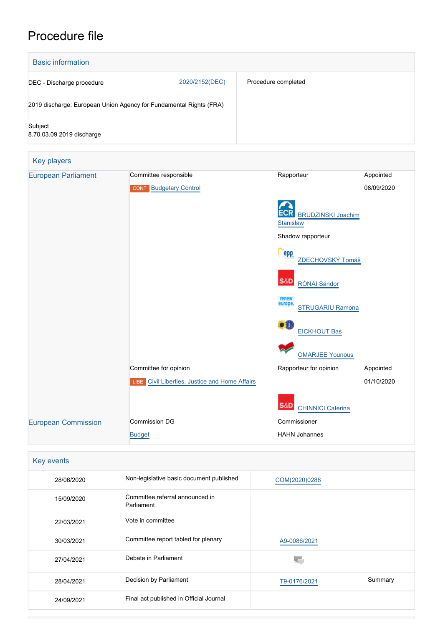# Procedure file

| <b>Basic information</b>                                           |                               |                                            |            |
|--------------------------------------------------------------------|-------------------------------|--------------------------------------------|------------|
| DEC - Discharge procedure                                          | 2020/2152(DEC)                | Procedure completed                        |            |
| 2019 discharge: European Union Agency for Fundamental Rights (FRA) |                               |                                            |            |
| Subject<br>8.70.03.09 2019 discharge                               |                               |                                            |            |
| Key players                                                        |                               |                                            |            |
| <b>European Parliament</b>                                         | Committee responsible         | Rapporteur                                 | Appointed  |
|                                                                    | <b>CONT</b> Budgetary Control |                                            | 08/09/2020 |
|                                                                    |                               | BRUDZIŃSKI Joachim<br>Stanisław            |            |
|                                                                    |                               | Shadow rapporteur                          |            |
|                                                                    |                               | epp<br>ZDECHOVSKÝ Tomáš                    |            |
|                                                                    |                               | <b>S&amp;D</b><br>RÓNAI Sándor             |            |
|                                                                    |                               | renew<br>europe<br><b>STRUGARIU Ramona</b> |            |
|                                                                    |                               | XX.<br><b>EICKHOUT Bas</b>                 |            |
|                                                                    |                               | <b>OMARJEE Younous</b>                     |            |

Committee for opinion and a subset of the Rapporteur for opinion and Appointed

01/10/2020

**S&D**  [CHINNICI Caterina](http://www.europarl.europa.eu/meps/en/124861) Commissioner HAHN Johannes

| Key events |                                               |               |         |  |  |  |  |
|------------|-----------------------------------------------|---------------|---------|--|--|--|--|
| 28/06/2020 | Non-legislative basic document published      | COM(2020)0288 |         |  |  |  |  |
| 15/09/2020 | Committee referral announced in<br>Parliament |               |         |  |  |  |  |
| 22/03/2021 | Vote in committee                             |               |         |  |  |  |  |
| 30/03/2021 | Committee report tabled for plenary           | A9-0086/2021  |         |  |  |  |  |
| 27/04/2021 | Debate in Parliament                          |               |         |  |  |  |  |
| 28/04/2021 | Decision by Parliament                        | T9-0176/2021  | Summary |  |  |  |  |
| 24/09/2021 | Final act published in Official Journal       |               |         |  |  |  |  |

**LIBE** [Civil Liberties, Justice and Home Affairs](http://www.europarl.europa.eu/committees/en/libe/home.html)

[European Commission](http://ec.europa.eu/) Commission DG

[Budget](http://ec.europa.eu/info/departments/budget_en)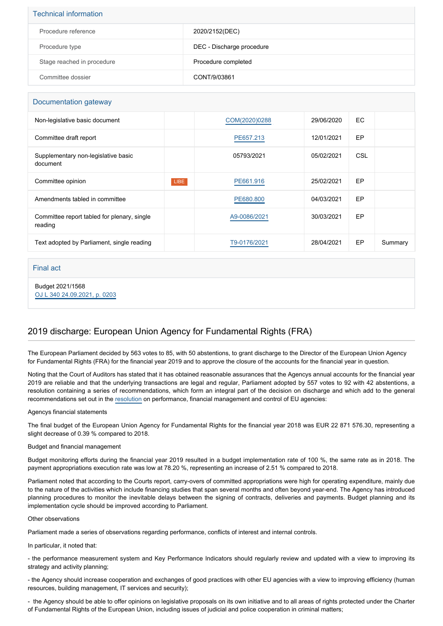| <b>Technical information</b> |                           |  |  |  |
|------------------------------|---------------------------|--|--|--|
| Procedure reference          | 2020/2152(DEC)            |  |  |  |
| Procedure type               | DEC - Discharge procedure |  |  |  |
| Stage reached in procedure   | Procedure completed       |  |  |  |
| Committee dossier            | CONT/9/03861              |  |  |  |

### Documentation gateway

| Non-legislative basic document                         |      | COM(2020)0288 | 29/06/2020 | EC. |         |
|--------------------------------------------------------|------|---------------|------------|-----|---------|
| Committee draft report                                 |      | PE657.213     | 12/01/2021 | EP  |         |
| Supplementary non-legislative basic<br>document        |      | 05793/2021    | 05/02/2021 | CSL |         |
| Committee opinion                                      | LIBE | PE661.916     | 25/02/2021 | EP  |         |
| Amendments tabled in committee                         |      | PE680,800     | 04/03/2021 | EP  |         |
| Committee report tabled for plenary, single<br>reading |      | A9-0086/2021  | 30/03/2021 | EP  |         |
| Text adopted by Parliament, single reading             |      | T9-0176/2021  | 28/04/2021 | EP  | Summary |

### Final act

Budget 2021/1568 [OJ L 340 24.09.2021, p. 0203](https://eur-lex.europa.eu/legal-content/EN/TXT/?uri=OJ:L:2021:340:TOC)

## 2019 discharge: European Union Agency for Fundamental Rights (FRA)

The European Parliament decided by 563 votes to 85, with 50 abstentions, to grant discharge to the Director of the European Union Agency for Fundamental Rights (FRA) for the financial year 2019 and to approve the closure of the accounts for the financial year in question.

Noting that the Court of Auditors has stated that it has obtained reasonable assurances that the Agencys annual accounts for the financial year 2019 are reliable and that the underlying transactions are legal and regular, Parliament adopted by 557 votes to 92 with 42 abstentions, a resolution containing a series of recommendations, which form an integral part of the decision on discharge and which add to the general recommendations set out in the [resolution](https://oeil.secure.europarl.europa.eu/oeil/popups/ficheprocedure.do?reference=2020/2194(DEC)&l=en) on performance, financial management and control of EU agencies:

### Agencys financial statements

The final budget of the European Union Agency for Fundamental Rights for the financial year 2018 was EUR 22 871 576.30, representing a slight decrease of 0.39 % compared to 2018.

### Budget and financial management

Budget monitoring efforts during the financial year 2019 resulted in a budget implementation rate of 100 %, the same rate as in 2018. The payment appropriations execution rate was low at 78.20 %, representing an increase of 2.51 % compared to 2018.

Parliament noted that according to the Courts report, carry-overs of committed appropriations were high for operating expenditure, mainly due to the nature of the activities which include financing studies that span several months and often beyond year-end. The Agency has introduced planning procedures to monitor the inevitable delays between the signing of contracts, deliveries and payments. Budget planning and its implementation cycle should be improved according to Parliament.

#### Other observations

Parliament made a series of observations regarding performance, conflicts of interest and internal controls.

In particular, it noted that:

- the performance measurement system and Key Performance Indicators should regularly review and updated with a view to improving its strategy and activity planning;

- the Agency should increase cooperation and exchanges of good practices with other EU agencies with a view to improving efficiency (human resources, building management, IT services and security);

- the Agency should be able to offer opinions on legislative proposals on its own initiative and to all areas of rights protected under the Charter of Fundamental Rights of the European Union, including issues of judicial and police cooperation in criminal matters;